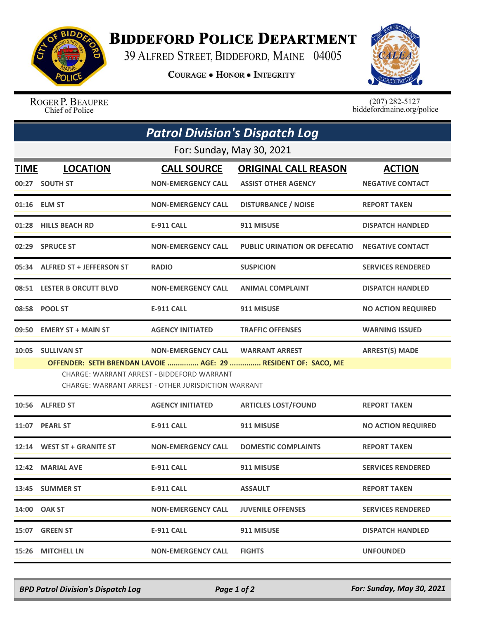

## **BIDDEFORD POLICE DEPARTMENT**

39 ALFRED STREET, BIDDEFORD, MAINE 04005

**COURAGE . HONOR . INTEGRITY** 



ROGER P. BEAUPRE Chief of Police

 $(207)$  282-5127<br>biddefordmaine.org/police

|                           | <b>Patrol Division's Dispatch Log</b> |                                                                                                   |                                                               |                           |  |  |  |
|---------------------------|---------------------------------------|---------------------------------------------------------------------------------------------------|---------------------------------------------------------------|---------------------------|--|--|--|
| For: Sunday, May 30, 2021 |                                       |                                                                                                   |                                                               |                           |  |  |  |
| <b>TIME</b>               | <b>LOCATION</b>                       | <b>CALL SOURCE</b>                                                                                | <b>ORIGINAL CALL REASON</b>                                   | <b>ACTION</b>             |  |  |  |
|                           | 00:27 SOUTH ST                        | <b>NON-EMERGENCY CALL</b>                                                                         | <b>ASSIST OTHER AGENCY</b>                                    | <b>NEGATIVE CONTACT</b>   |  |  |  |
|                           | 01:16 ELM ST                          | <b>NON-EMERGENCY CALL</b>                                                                         | <b>DISTURBANCE / NOISE</b>                                    | <b>REPORT TAKEN</b>       |  |  |  |
|                           | 01:28 HILLS BEACH RD                  | <b>E-911 CALL</b>                                                                                 | 911 MISUSE                                                    | <b>DISPATCH HANDLED</b>   |  |  |  |
|                           | 02:29 SPRUCE ST                       | <b>NON-EMERGENCY CALL</b>                                                                         | PUBLIC URINATION OR DEFECATIO                                 | <b>NEGATIVE CONTACT</b>   |  |  |  |
|                           | 05:34 ALFRED ST + JEFFERSON ST        | <b>RADIO</b>                                                                                      | <b>SUSPICION</b>                                              | <b>SERVICES RENDERED</b>  |  |  |  |
|                           | 08:51 LESTER B ORCUTT BLVD            | <b>NON-EMERGENCY CALL</b>                                                                         | <b>ANIMAL COMPLAINT</b>                                       | <b>DISPATCH HANDLED</b>   |  |  |  |
|                           | 08:58 POOL ST                         | <b>E-911 CALL</b>                                                                                 | 911 MISUSE                                                    | <b>NO ACTION REQUIRED</b> |  |  |  |
| 09:50                     | <b>EMERY ST + MAIN ST</b>             | <b>AGENCY INITIATED</b>                                                                           | <b>TRAFFIC OFFENSES</b>                                       | <b>WARNING ISSUED</b>     |  |  |  |
| 10:05                     | <b>SULLIVAN ST</b>                    | <b>NON-EMERGENCY CALL</b>                                                                         | <b>WARRANT ARREST</b>                                         | <b>ARREST(S) MADE</b>     |  |  |  |
|                           |                                       | CHARGE: WARRANT ARREST - BIDDEFORD WARRANT<br>CHARGE: WARRANT ARREST - OTHER JURISDICTION WARRANT | OFFENDER: SETH BRENDAN LAVOIE  AGE: 29  RESIDENT OF: SACO, ME |                           |  |  |  |
| 10:56                     | <b>ALFRED ST</b>                      | <b>AGENCY INITIATED</b>                                                                           | <b>ARTICLES LOST/FOUND</b>                                    | <b>REPORT TAKEN</b>       |  |  |  |
| 11:07                     | <b>PEARL ST</b>                       | E-911 CALL                                                                                        | 911 MISUSE                                                    | <b>NO ACTION REQUIRED</b> |  |  |  |
|                           | 12:14 WEST ST + GRANITE ST            | <b>NON-EMERGENCY CALL</b>                                                                         | <b>DOMESTIC COMPLAINTS</b>                                    | <b>REPORT TAKEN</b>       |  |  |  |
|                           | 12:42 MARIAL AVE                      | <b>E-911 CALL</b>                                                                                 | 911 MISUSE                                                    | <b>SERVICES RENDERED</b>  |  |  |  |
|                           | 13:45 SUMMER ST                       | <b>E-911 CALL</b>                                                                                 | <b>ASSAULT</b>                                                | <b>REPORT TAKEN</b>       |  |  |  |
|                           | 14:00 OAK ST                          | <b>NON-EMERGENCY CALL</b>                                                                         | <b>JUVENILE OFFENSES</b>                                      | <b>SERVICES RENDERED</b>  |  |  |  |
|                           | 15:07 GREEN ST                        | <b>E-911 CALL</b>                                                                                 | 911 MISUSE                                                    | <b>DISPATCH HANDLED</b>   |  |  |  |
| 15:26                     | <b>MITCHELL LN</b>                    | <b>NON-EMERGENCY CALL</b>                                                                         | <b>FIGHTS</b>                                                 | <b>UNFOUNDED</b>          |  |  |  |

*BPD Patrol Division's Dispatch Log Page 1 of 2 For: Sunday, May 30, 2021*